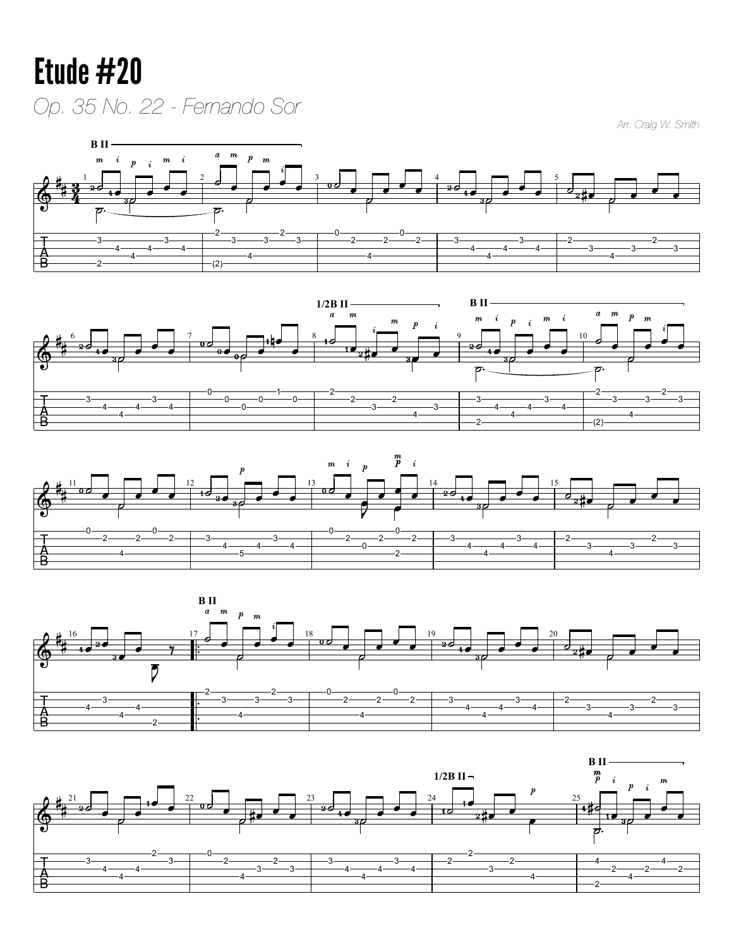## Etude #20 *Op. 35 No. 22 - Fernando Sor*

*Arr. Craig W. Smith*